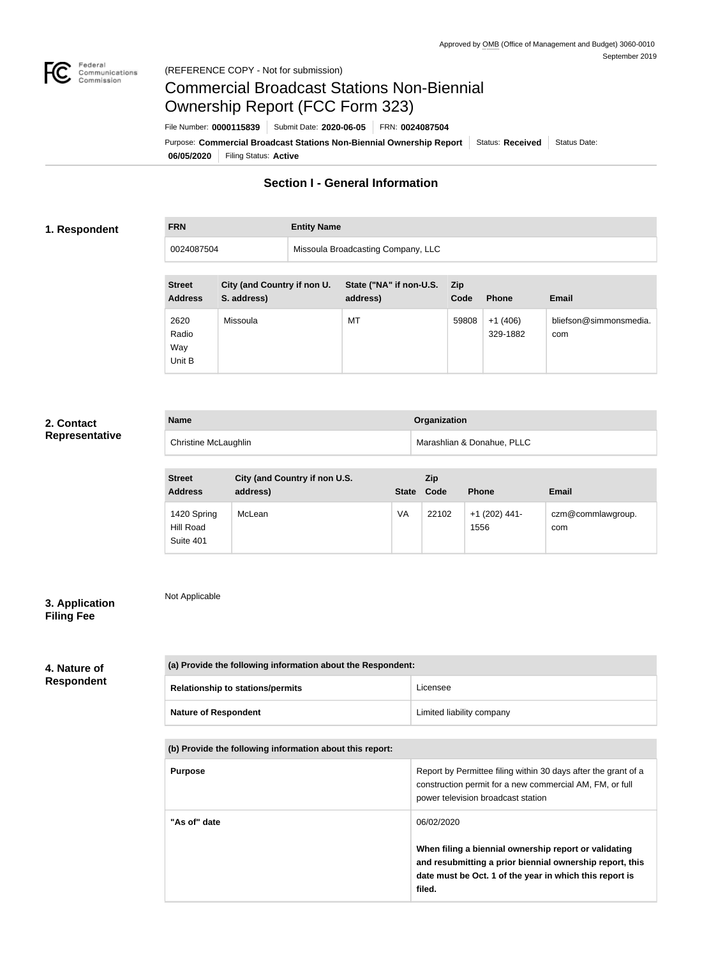

# Commercial Broadcast Stations Non-Biennial Ownership Report (FCC Form 323)

**06/05/2020** Filing Status: **Active** Purpose: Commercial Broadcast Stations Non-Biennial Ownership Report Status: Received Status Date: File Number: **0000115839** Submit Date: **2020-06-05** FRN: **0024087504**

# **Section I - General Information**

## **1. Respondent**

**FRN Entity Name**

| .          | <b>EURICY ISSUED</b>               |
|------------|------------------------------------|
| 0024087504 | Missoula Broadcasting Company, LLC |

| <b>Street</b><br><b>Address</b> | City (and Country if non U.<br>S. address) | State ("NA" if non-U.S.<br>address) | <b>Zip</b><br>Code | <b>Phone</b>          | <b>Email</b>                  |
|---------------------------------|--------------------------------------------|-------------------------------------|--------------------|-----------------------|-------------------------------|
| 2620<br>Radio<br>Way<br>Unit B  | Missoula                                   | MT                                  | 59808              | $+1(406)$<br>329-1882 | bliefson@simmonsmedia.<br>com |

# **2. Contact Representative**

| <b>Name</b>                 | Organization               |
|-----------------------------|----------------------------|
| <b>Christine McLaughlin</b> | Marashlian & Donahue, PLLC |

| <b>Street</b><br><b>Address</b>       | City (and Country if non U.S.<br>address) | <b>State</b> | <b>Zip</b><br>Code | <b>Phone</b>            | <b>Email</b>             |
|---------------------------------------|-------------------------------------------|--------------|--------------------|-------------------------|--------------------------|
| 1420 Spring<br>Hill Road<br>Suite 401 | McLean                                    | VA           | 22102              | $+1$ (202) 441-<br>1556 | czm@commlawgroup.<br>com |

# **3. Application Filing Fee**

Not Applicable

## **4. Nature of Respondent**

| (a) Provide the following information about the Respondent: |                           |  |
|-------------------------------------------------------------|---------------------------|--|
| <b>Relationship to stations/permits</b>                     | Licensee                  |  |
| <b>Nature of Respondent</b>                                 | Limited liability company |  |

## **(b) Provide the following information about this report:**

| <b>Purpose</b> | Report by Permittee filing within 30 days after the grant of a<br>construction permit for a new commercial AM, FM, or full<br>power television broadcast station                       |
|----------------|----------------------------------------------------------------------------------------------------------------------------------------------------------------------------------------|
| "As of" date   | 06/02/2020                                                                                                                                                                             |
|                | When filing a biennial ownership report or validating<br>and resubmitting a prior biennial ownership report, this<br>date must be Oct. 1 of the year in which this report is<br>filed. |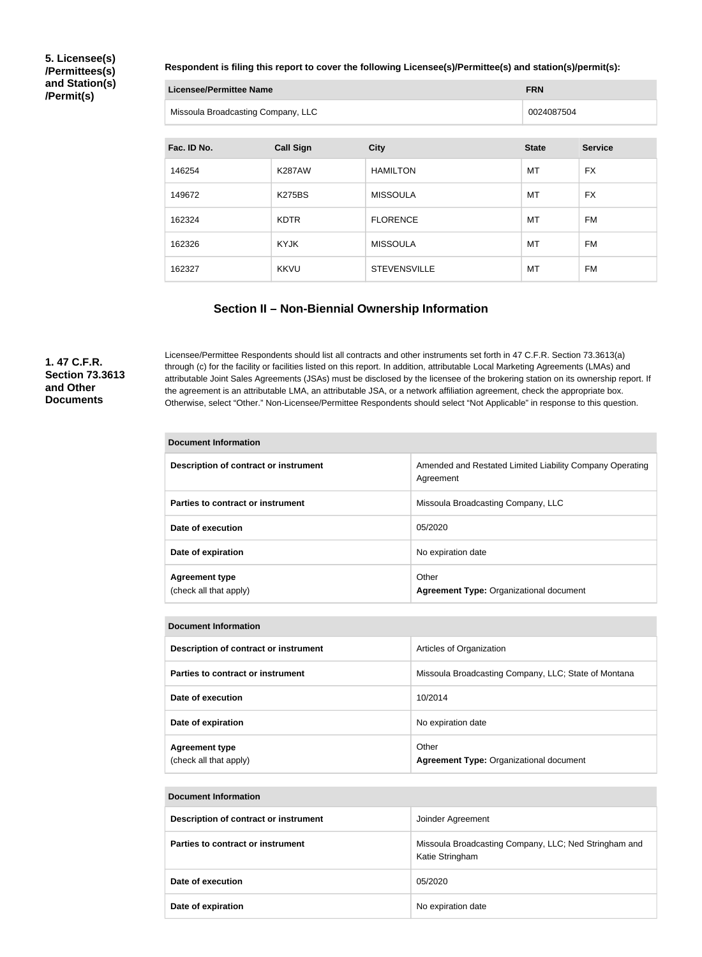## **5. Licensee(s) /Permittees(s) and Station(s) /Permit(s)**

#### **Respondent is filing this report to cover the following Licensee(s)/Permittee(s) and station(s)/permit(s):**

| Licensee/Permittee Name            | <b>FRN</b> |
|------------------------------------|------------|
| Missoula Broadcasting Company, LLC | 0024087504 |

| Fac. ID No. | <b>Call Sign</b> | <b>City</b>         | <b>State</b> | <b>Service</b> |
|-------------|------------------|---------------------|--------------|----------------|
| 146254      | <b>K287AW</b>    | <b>HAMILTON</b>     | MT           | <b>FX</b>      |
| 149672      | <b>K275BS</b>    | <b>MISSOULA</b>     | MT           | <b>FX</b>      |
| 162324      | <b>KDTR</b>      | <b>FLORENCE</b>     | МT           | <b>FM</b>      |
| 162326      | KYJK             | <b>MISSOULA</b>     | МT           | <b>FM</b>      |
| 162327      | <b>KKVU</b>      | <b>STEVENSVILLE</b> | MT           | FM             |

## **Section II – Non-Biennial Ownership Information**

**1. 47 C.F.R. Section 73.3613 and Other Documents**

Licensee/Permittee Respondents should list all contracts and other instruments set forth in 47 C.F.R. Section 73.3613(a) through (c) for the facility or facilities listed on this report. In addition, attributable Local Marketing Agreements (LMAs) and attributable Joint Sales Agreements (JSAs) must be disclosed by the licensee of the brokering station on its ownership report. If the agreement is an attributable LMA, an attributable JSA, or a network affiliation agreement, check the appropriate box. Otherwise, select "Other." Non-Licensee/Permittee Respondents should select "Not Applicable" in response to this question.

| <b>Document Information</b>                     |                                                                       |
|-------------------------------------------------|-----------------------------------------------------------------------|
| Description of contract or instrument           | Amended and Restated Limited Liability Company Operating<br>Agreement |
| Parties to contract or instrument               | Missoula Broadcasting Company, LLC                                    |
| Date of execution                               | 05/2020                                                               |
| Date of expiration                              | No expiration date                                                    |
| <b>Agreement type</b><br>(check all that apply) | Other<br><b>Agreement Type: Organizational document</b>               |

| <b>Document Information</b>                     |                                                         |
|-------------------------------------------------|---------------------------------------------------------|
| Description of contract or instrument           | Articles of Organization                                |
| Parties to contract or instrument               | Missoula Broadcasting Company, LLC; State of Montana    |
| Date of execution                               | 10/2014                                                 |
| Date of expiration                              | No expiration date                                      |
| <b>Agreement type</b><br>(check all that apply) | Other<br><b>Agreement Type: Organizational document</b> |

| Description of contract or instrument | Joinder Agreement                                                        |
|---------------------------------------|--------------------------------------------------------------------------|
| Parties to contract or instrument     | Missoula Broadcasting Company, LLC; Ned Stringham and<br>Katie Stringham |
| Date of execution                     | 05/2020                                                                  |
| Date of expiration                    | No expiration date                                                       |

**Document Information**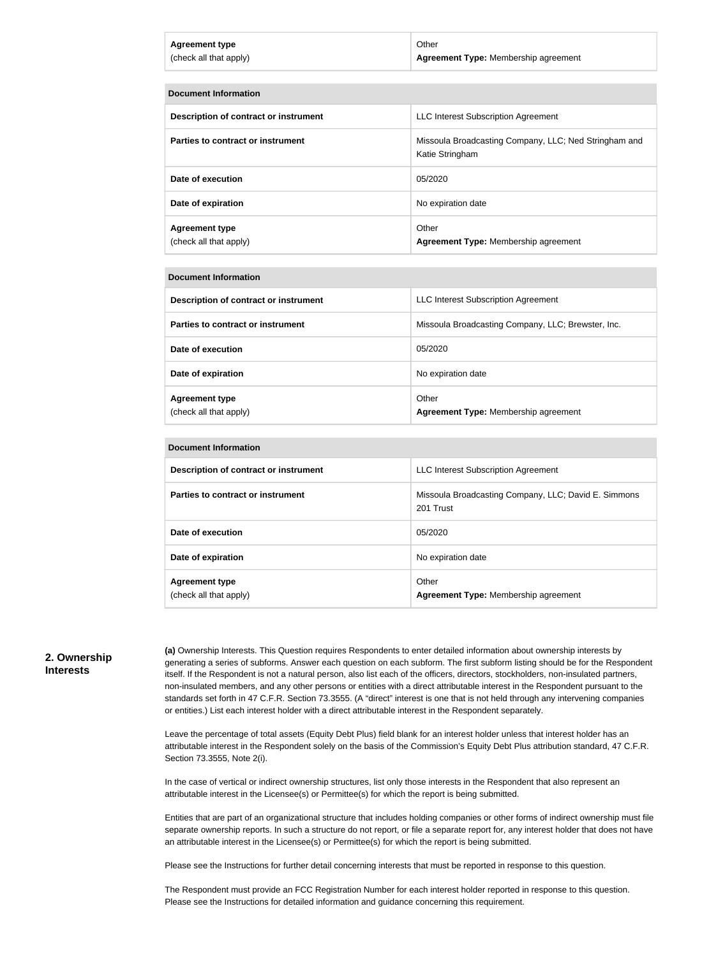| <b>Agreement type</b>  | Other                                |
|------------------------|--------------------------------------|
| (check all that apply) | Agreement Type: Membership agreement |

| <b>Document Information</b>                     |                                                                          |  |
|-------------------------------------------------|--------------------------------------------------------------------------|--|
| Description of contract or instrument           | <b>LLC Interest Subscription Agreement</b>                               |  |
| Parties to contract or instrument               | Missoula Broadcasting Company, LLC; Ned Stringham and<br>Katie Stringham |  |
| Date of execution                               | 05/2020                                                                  |  |
| Date of expiration                              | No expiration date                                                       |  |
| <b>Agreement type</b><br>(check all that apply) | Other<br>Agreement Type: Membership agreement                            |  |

#### **Document Information**

| Description of contract or instrument           | LLC Interest Subscription Agreement                  |
|-------------------------------------------------|------------------------------------------------------|
| Parties to contract or instrument               | Missoula Broadcasting Company, LLC; Brewster, Inc.   |
| Date of execution                               | 05/2020                                              |
| Date of expiration                              | No expiration date                                   |
| <b>Agreement type</b><br>(check all that apply) | Other<br><b>Agreement Type: Membership agreement</b> |

| <b>Document Information</b>                     |                                                                   |
|-------------------------------------------------|-------------------------------------------------------------------|
| Description of contract or instrument           | <b>LLC Interest Subscription Agreement</b>                        |
| Parties to contract or instrument               | Missoula Broadcasting Company, LLC; David E. Simmons<br>201 Trust |
| Date of execution                               | 05/2020                                                           |
| Date of expiration                              | No expiration date                                                |
| <b>Agreement type</b><br>(check all that apply) | Other<br><b>Agreement Type: Membership agreement</b>              |

#### **2. Ownership Interests**

**(a)** Ownership Interests. This Question requires Respondents to enter detailed information about ownership interests by generating a series of subforms. Answer each question on each subform. The first subform listing should be for the Respondent itself. If the Respondent is not a natural person, also list each of the officers, directors, stockholders, non-insulated partners, non-insulated members, and any other persons or entities with a direct attributable interest in the Respondent pursuant to the standards set forth in 47 C.F.R. Section 73.3555. (A "direct" interest is one that is not held through any intervening companies or entities.) List each interest holder with a direct attributable interest in the Respondent separately.

Leave the percentage of total assets (Equity Debt Plus) field blank for an interest holder unless that interest holder has an attributable interest in the Respondent solely on the basis of the Commission's Equity Debt Plus attribution standard, 47 C.F.R. Section 73.3555, Note 2(i).

In the case of vertical or indirect ownership structures, list only those interests in the Respondent that also represent an attributable interest in the Licensee(s) or Permittee(s) for which the report is being submitted.

Entities that are part of an organizational structure that includes holding companies or other forms of indirect ownership must file separate ownership reports. In such a structure do not report, or file a separate report for, any interest holder that does not have an attributable interest in the Licensee(s) or Permittee(s) for which the report is being submitted.

Please see the Instructions for further detail concerning interests that must be reported in response to this question.

The Respondent must provide an FCC Registration Number for each interest holder reported in response to this question. Please see the Instructions for detailed information and guidance concerning this requirement.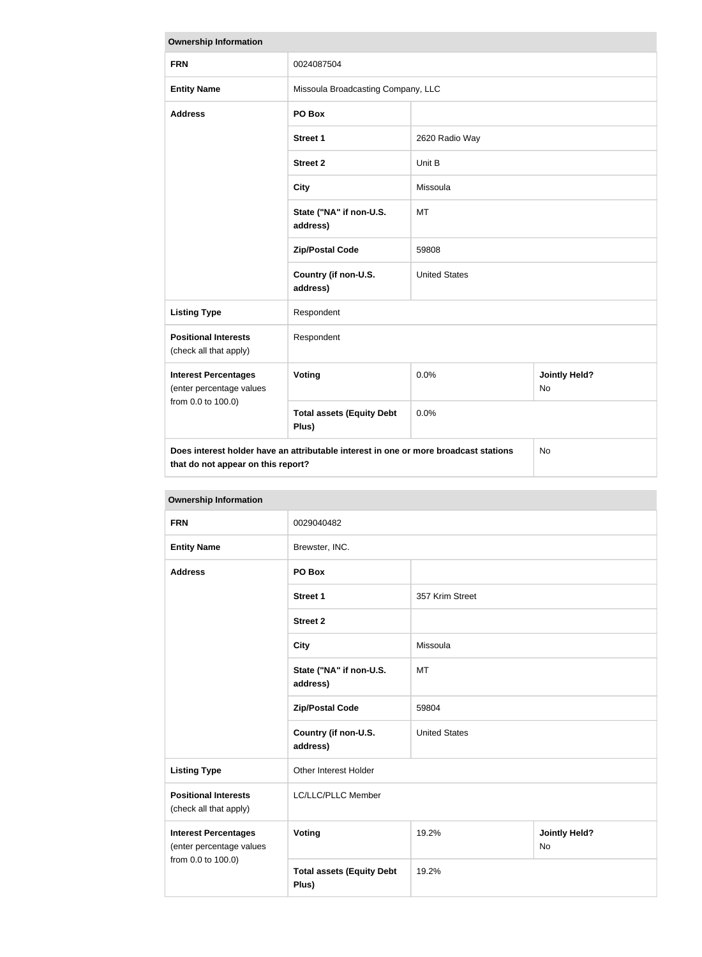| <b>Ownership Information</b>                                                                                                            |                                           |                      |                                   |
|-----------------------------------------------------------------------------------------------------------------------------------------|-------------------------------------------|----------------------|-----------------------------------|
| <b>FRN</b>                                                                                                                              | 0024087504                                |                      |                                   |
| <b>Entity Name</b>                                                                                                                      | Missoula Broadcasting Company, LLC        |                      |                                   |
| <b>Address</b>                                                                                                                          | PO Box                                    |                      |                                   |
|                                                                                                                                         | <b>Street 1</b>                           | 2620 Radio Way       |                                   |
|                                                                                                                                         | <b>Street 2</b>                           | Unit B               |                                   |
|                                                                                                                                         | <b>City</b>                               | Missoula             |                                   |
|                                                                                                                                         | State ("NA" if non-U.S.<br>address)       | <b>MT</b>            |                                   |
|                                                                                                                                         | <b>Zip/Postal Code</b>                    | 59808                |                                   |
|                                                                                                                                         | Country (if non-U.S.<br>address)          | <b>United States</b> |                                   |
| <b>Listing Type</b>                                                                                                                     | Respondent                                |                      |                                   |
| <b>Positional Interests</b><br>(check all that apply)                                                                                   | Respondent                                |                      |                                   |
| <b>Interest Percentages</b><br>(enter percentage values                                                                                 | <b>Voting</b>                             | 0.0%                 | <b>Jointly Held?</b><br><b>No</b> |
| from 0.0 to 100.0)                                                                                                                      | <b>Total assets (Equity Debt</b><br>Plus) | 0.0%                 |                                   |
| Does interest holder have an attributable interest in one or more broadcast stations<br><b>No</b><br>that do not appear on this report? |                                           |                      |                                   |

| <b>Ownership Information</b>                                                  |                                           |                      |                                   |
|-------------------------------------------------------------------------------|-------------------------------------------|----------------------|-----------------------------------|
| <b>FRN</b>                                                                    | 0029040482                                |                      |                                   |
| <b>Entity Name</b>                                                            | Brewster, INC.                            |                      |                                   |
| <b>Address</b>                                                                | PO Box                                    |                      |                                   |
|                                                                               | <b>Street 1</b>                           | 357 Krim Street      |                                   |
|                                                                               | <b>Street 2</b>                           |                      |                                   |
|                                                                               | <b>City</b>                               | Missoula             |                                   |
|                                                                               | State ("NA" if non-U.S.<br>address)       | MT                   |                                   |
|                                                                               | <b>Zip/Postal Code</b>                    | 59804                |                                   |
|                                                                               | Country (if non-U.S.<br>address)          | <b>United States</b> |                                   |
| <b>Listing Type</b>                                                           | Other Interest Holder                     |                      |                                   |
| <b>Positional Interests</b><br>(check all that apply)                         | LC/LLC/PLLC Member                        |                      |                                   |
| <b>Interest Percentages</b><br>(enter percentage values<br>from 0.0 to 100.0) | <b>Voting</b>                             | 19.2%                | <b>Jointly Held?</b><br><b>No</b> |
|                                                                               | <b>Total assets (Equity Debt</b><br>Plus) | 19.2%                |                                   |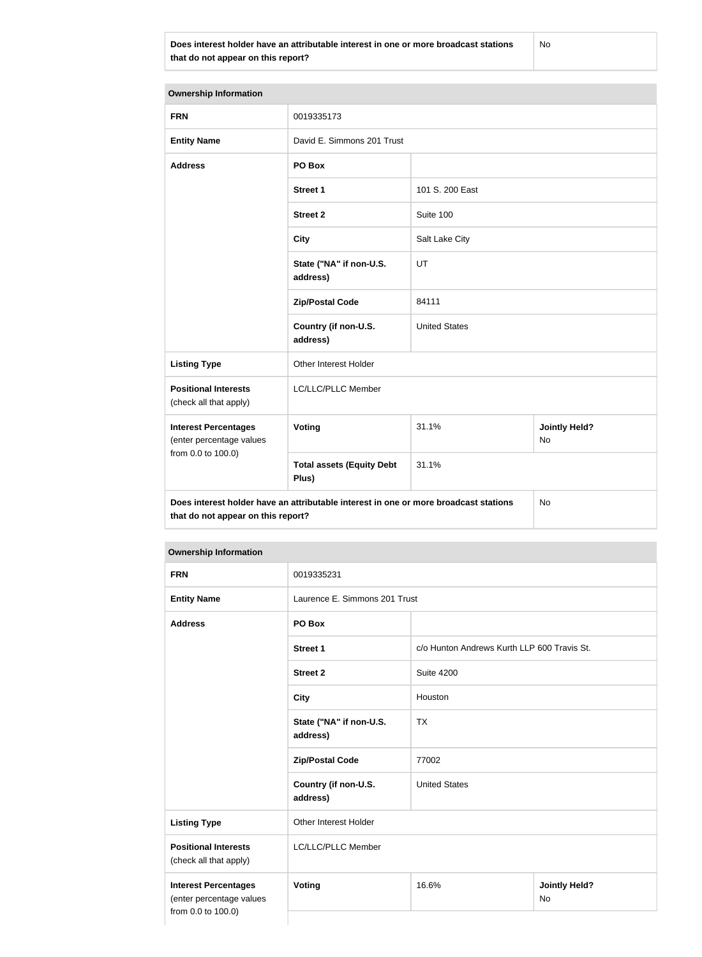**Does interest holder have an attributable interest in one or more broadcast stations that do not appear on this report?**

| <b>Ownership Information</b>                                                               |                                           |                      |                                   |
|--------------------------------------------------------------------------------------------|-------------------------------------------|----------------------|-----------------------------------|
| <b>FRN</b>                                                                                 | 0019335173                                |                      |                                   |
| <b>Entity Name</b>                                                                         | David E. Simmons 201 Trust                |                      |                                   |
| <b>Address</b>                                                                             | PO Box                                    |                      |                                   |
|                                                                                            | <b>Street 1</b>                           | 101 S. 200 East      |                                   |
|                                                                                            | <b>Street 2</b>                           | Suite 100            |                                   |
|                                                                                            | <b>City</b>                               | Salt Lake City       |                                   |
|                                                                                            | State ("NA" if non-U.S.<br>address)       | UT                   |                                   |
|                                                                                            | <b>Zip/Postal Code</b>                    | 84111                |                                   |
|                                                                                            | Country (if non-U.S.<br>address)          | <b>United States</b> |                                   |
| <b>Listing Type</b>                                                                        | Other Interest Holder                     |                      |                                   |
| <b>Positional Interests</b><br>(check all that apply)                                      | LC/LLC/PLLC Member                        |                      |                                   |
| <b>Interest Percentages</b><br>(enter percentage values<br>from 0.0 to 100.0)              | Voting                                    | 31.1%                | <b>Jointly Held?</b><br><b>No</b> |
|                                                                                            | <b>Total assets (Equity Debt</b><br>Plus) | 31.1%                |                                   |
| Does interest holder have an attributable interest in one or more broadcast stations<br>No |                                           |                      |                                   |

**Does interest holder have an attributable interest in one or more broadcast stations that do not appear on this report?**

#### **Ownership Information**

| <b>FRN</b>                                                                    | 0019335231                          |                                             |                                   |
|-------------------------------------------------------------------------------|-------------------------------------|---------------------------------------------|-----------------------------------|
| <b>Entity Name</b>                                                            | Laurence E. Simmons 201 Trust       |                                             |                                   |
| <b>Address</b>                                                                | PO Box                              |                                             |                                   |
|                                                                               | <b>Street 1</b>                     | c/o Hunton Andrews Kurth LLP 600 Travis St. |                                   |
|                                                                               | <b>Street 2</b>                     | <b>Suite 4200</b>                           |                                   |
|                                                                               | <b>City</b>                         | Houston                                     |                                   |
|                                                                               | State ("NA" if non-U.S.<br>address) | <b>TX</b>                                   |                                   |
|                                                                               | <b>Zip/Postal Code</b>              | 77002                                       |                                   |
|                                                                               | Country (if non-U.S.<br>address)    | <b>United States</b>                        |                                   |
| <b>Listing Type</b>                                                           | Other Interest Holder               |                                             |                                   |
| <b>Positional Interests</b><br>(check all that apply)                         | LC/LLC/PLLC Member                  |                                             |                                   |
| <b>Interest Percentages</b><br>(enter percentage values<br>from 0.0 to 100.0) | Voting                              | 16.6%                                       | <b>Jointly Held?</b><br><b>No</b> |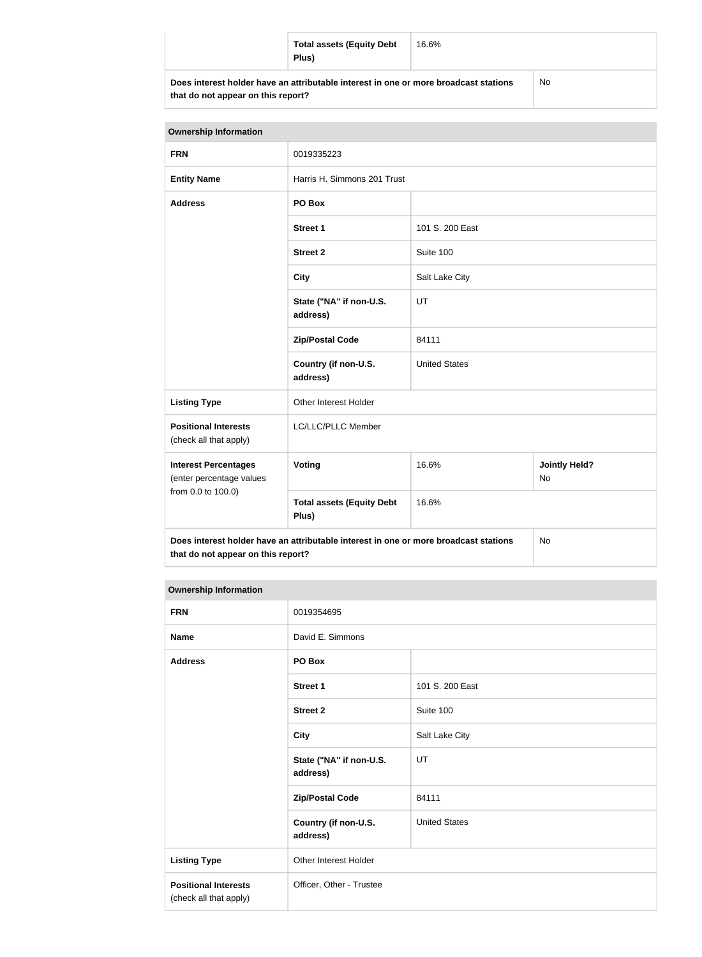|                                                                                      | <b>Total assets (Equity Debt</b><br>Plus) | 16.6% |  |
|--------------------------------------------------------------------------------------|-------------------------------------------|-------|--|
| Does interest holder have an attributable interest in one or more broadcast stations |                                           | No    |  |

**that do not appear on this report?**

| <b>Ownership Information</b>                            |                                                                                      |                                     |           |
|---------------------------------------------------------|--------------------------------------------------------------------------------------|-------------------------------------|-----------|
| <b>FRN</b>                                              | 0019335223                                                                           |                                     |           |
| <b>Entity Name</b>                                      | Harris H. Simmons 201 Trust                                                          |                                     |           |
| <b>Address</b>                                          | PO Box                                                                               |                                     |           |
|                                                         | <b>Street 1</b>                                                                      | 101 S. 200 East                     |           |
|                                                         | <b>Street 2</b>                                                                      | Suite 100                           |           |
|                                                         | <b>City</b>                                                                          | Salt Lake City                      |           |
|                                                         | State ("NA" if non-U.S.<br>address)                                                  | UT                                  |           |
|                                                         | <b>Zip/Postal Code</b>                                                               | 84111                               |           |
|                                                         | Country (if non-U.S.<br>address)                                                     | <b>United States</b>                |           |
| <b>Listing Type</b>                                     | Other Interest Holder                                                                |                                     |           |
| <b>Positional Interests</b><br>(check all that apply)   | LC/LLC/PLLC Member                                                                   |                                     |           |
| <b>Interest Percentages</b><br>(enter percentage values | Voting                                                                               | <b>Jointly Held?</b><br>16.6%<br>No |           |
| from 0.0 to 100.0)                                      | <b>Total assets (Equity Debt</b><br>Plus)                                            | 16.6%                               |           |
| that do not appear on this report?                      | Does interest holder have an attributable interest in one or more broadcast stations |                                     | <b>No</b> |

## **Ownership Information**

| <b>FRN</b>                                            | 0019354695                          |                      |
|-------------------------------------------------------|-------------------------------------|----------------------|
| <b>Name</b>                                           | David E. Simmons                    |                      |
| <b>Address</b>                                        | PO Box                              |                      |
|                                                       | <b>Street 1</b>                     | 101 S. 200 East      |
|                                                       | <b>Street 2</b>                     | Suite 100            |
|                                                       | <b>City</b>                         | Salt Lake City       |
|                                                       | State ("NA" if non-U.S.<br>address) | UT                   |
|                                                       | <b>Zip/Postal Code</b>              | 84111                |
|                                                       | Country (if non-U.S.<br>address)    | <b>United States</b> |
| <b>Listing Type</b>                                   | Other Interest Holder               |                      |
| <b>Positional Interests</b><br>(check all that apply) | Officer, Other - Trustee            |                      |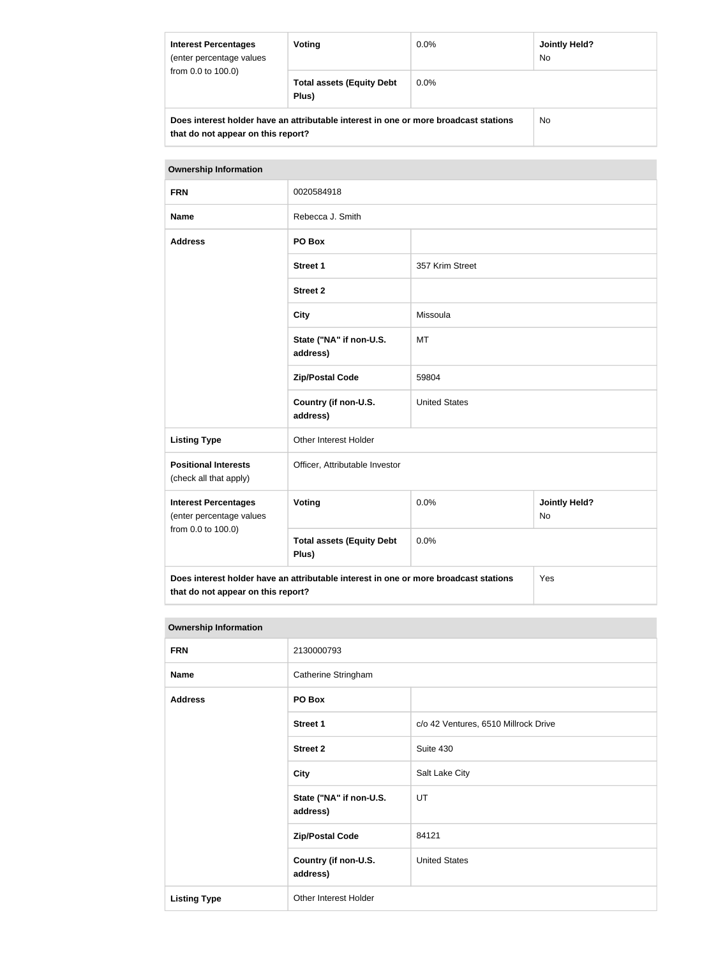| <b>Interest Percentages</b><br>(enter percentage values<br>from 0.0 to 100.0)                                              | Voting                                    | $0.0\%$ | <b>Jointly Held?</b><br><b>No</b> |
|----------------------------------------------------------------------------------------------------------------------------|-------------------------------------------|---------|-----------------------------------|
|                                                                                                                            | <b>Total assets (Equity Debt</b><br>Plus) | $0.0\%$ |                                   |
| Does interest holder have an attributable interest in one or more broadcast stations<br>that do not appear on this report? |                                           | No.     |                                   |

# **Ownership Information FRN** 0020584918 **Name** Rebecca J. Smith **Address PO Box Street 1** 357 Krim Street **Street 2 City** Missoula **State ("NA" if non-U.S. address)** MT **Zip/Postal Code** 59804 **Country (if non-U.S. address)** United States Listing Type **Communist Communist Communist Communist Communist Communist Communist Communist Communist Communist Communist Communist Communist Communist Communist Communist Communist Communist Communist Communist Communis Positional Interests** (check all that apply) Officer, Attributable Investor **Interest Percentages** (enter percentage values from 0.0 to 100.0) **Voting Voting Jointly Held?** No **Total assets (Equity Debt Plus)** 0.0% **Does interest holder have an attributable interest in one or more broadcast stations that do not appear on this report?** Yes

#### **Ownership Information**

| <b>FRN</b>          | 2130000793                          |                                      |
|---------------------|-------------------------------------|--------------------------------------|
| <b>Name</b>         | Catherine Stringham                 |                                      |
| <b>Address</b>      | PO Box                              |                                      |
|                     | <b>Street 1</b>                     | c/o 42 Ventures, 6510 Millrock Drive |
|                     | <b>Street 2</b>                     | Suite 430                            |
|                     | <b>City</b>                         | Salt Lake City                       |
|                     | State ("NA" if non-U.S.<br>address) | UT                                   |
|                     | <b>Zip/Postal Code</b>              | 84121                                |
|                     | Country (if non-U.S.<br>address)    | <b>United States</b>                 |
| <b>Listing Type</b> | Other Interest Holder               |                                      |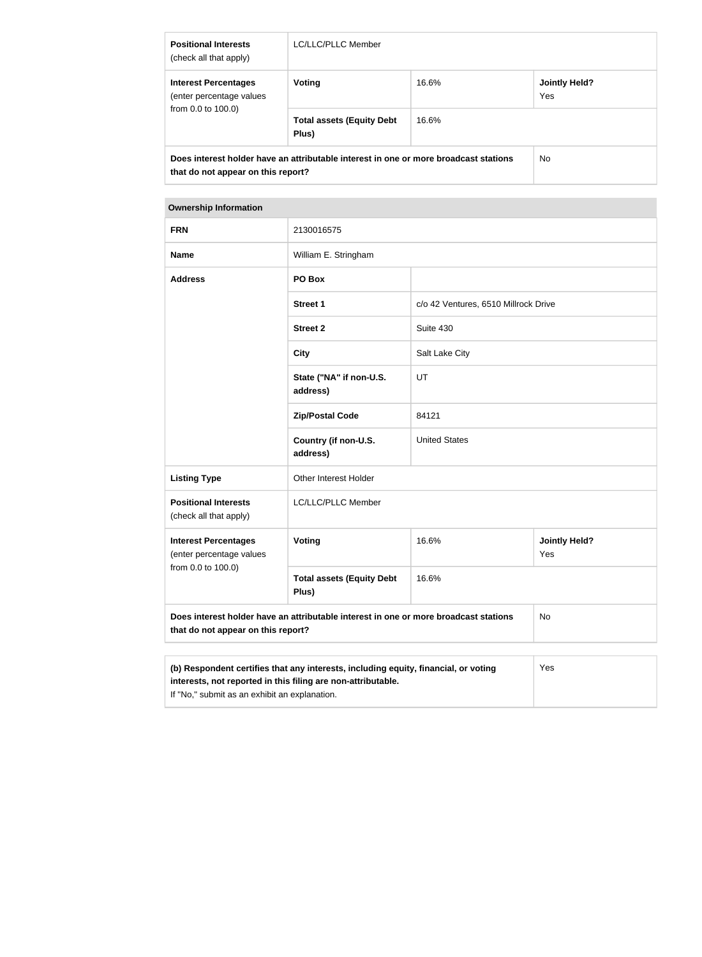| <b>Positional Interests</b><br>(check all that apply)                         | LC/LLC/PLLC Member                                                                   |       |                             |
|-------------------------------------------------------------------------------|--------------------------------------------------------------------------------------|-------|-----------------------------|
| <b>Interest Percentages</b><br>(enter percentage values<br>from 0.0 to 100.0) | Voting                                                                               | 16.6% | <b>Jointly Held?</b><br>Yes |
|                                                                               | <b>Total assets (Equity Debt</b><br>Plus)                                            | 16.6% |                             |
| that do not appear on this report?                                            | Does interest holder have an attributable interest in one or more broadcast stations |       | No.                         |

## **Ownership Information**

Г

| <b>FRN</b>                                                                                                                 | 2130016575                                                                       |                                      |                             |  |
|----------------------------------------------------------------------------------------------------------------------------|----------------------------------------------------------------------------------|--------------------------------------|-----------------------------|--|
| <b>Name</b>                                                                                                                | William E. Stringham                                                             |                                      |                             |  |
| <b>Address</b>                                                                                                             | PO Box                                                                           |                                      |                             |  |
|                                                                                                                            | <b>Street 1</b>                                                                  | c/o 42 Ventures, 6510 Millrock Drive |                             |  |
|                                                                                                                            | <b>Street 2</b>                                                                  | Suite 430                            |                             |  |
|                                                                                                                            | <b>City</b>                                                                      | Salt Lake City                       |                             |  |
|                                                                                                                            | State ("NA" if non-U.S.<br>address)                                              | UT                                   |                             |  |
|                                                                                                                            | <b>Zip/Postal Code</b>                                                           | 84121                                |                             |  |
|                                                                                                                            | Country (if non-U.S.<br>address)                                                 | <b>United States</b>                 |                             |  |
| <b>Listing Type</b>                                                                                                        | Other Interest Holder                                                            |                                      |                             |  |
| <b>Positional Interests</b><br>(check all that apply)                                                                      | LC/LLC/PLLC Member                                                               |                                      |                             |  |
| <b>Interest Percentages</b><br>(enter percentage values<br>from 0.0 to 100.0)                                              | Voting                                                                           | 16.6%                                | <b>Jointly Held?</b><br>Yes |  |
|                                                                                                                            | <b>Total assets (Equity Debt</b><br>Plus)                                        | 16.6%                                |                             |  |
| Does interest holder have an attributable interest in one or more broadcast stations<br>that do not appear on this report? |                                                                                  |                                      | No                          |  |
|                                                                                                                            |                                                                                  |                                      |                             |  |
|                                                                                                                            | (b) Respondent certifies that any interests including equity financial or voting |                                      | Yes                         |  |

| (b) Respondent certifies that any interests, including equity, financial, or voting | Yes |
|-------------------------------------------------------------------------------------|-----|
| interests, not reported in this filing are non-attributable.                        |     |
| If "No," submit as an exhibit an explanation.                                       |     |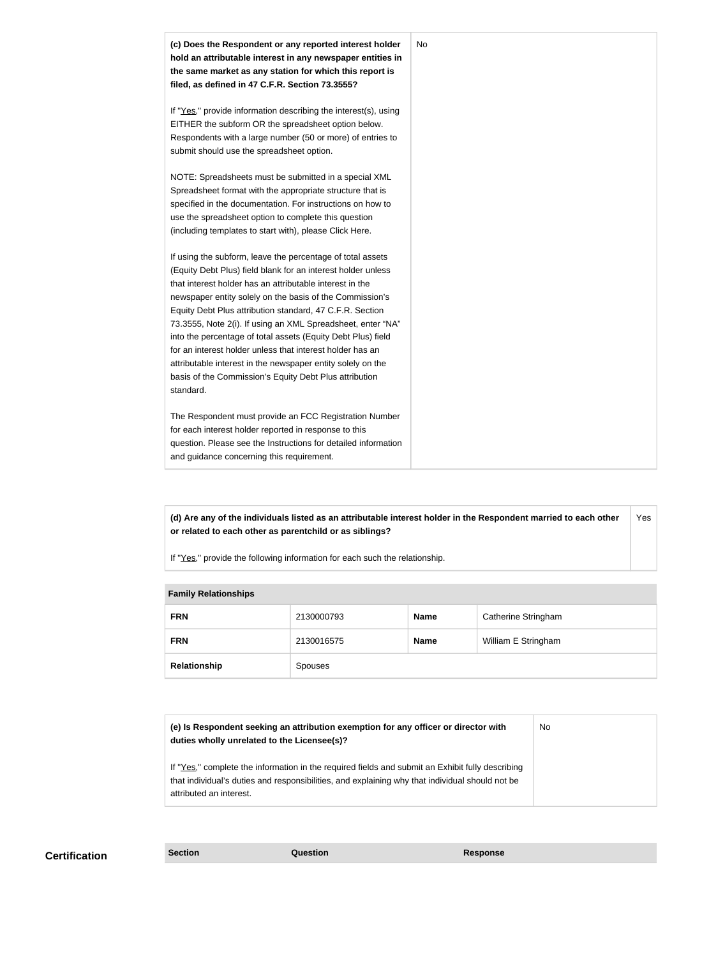

**(d) Are any of the individuals listed as an attributable interest holder in the Respondent married to each other or related to each other as parentchild or as siblings?** Yes

If "Yes," provide the following information for each such the relationship.

| <b>Fallilly Relativitating</b> |            |             |                     |
|--------------------------------|------------|-------------|---------------------|
| <b>FRN</b>                     | 2130000793 | Name        | Catherine Stringham |
| <b>FRN</b>                     | 2130016575 | <b>Name</b> | William E Stringham |
| Relationship                   | Spouses    |             |                     |

| (e) Is Respondent seeking an attribution exemption for any officer or director with<br>duties wholly unrelated to the Licensee(s)?                                                                                             | No. |
|--------------------------------------------------------------------------------------------------------------------------------------------------------------------------------------------------------------------------------|-----|
| If "Yes," complete the information in the required fields and submit an Exhibit fully describing<br>that individual's duties and responsibilities, and explaining why that individual should not be<br>attributed an interest. |     |

**Certification Section Question Response**

**Family Relationships**